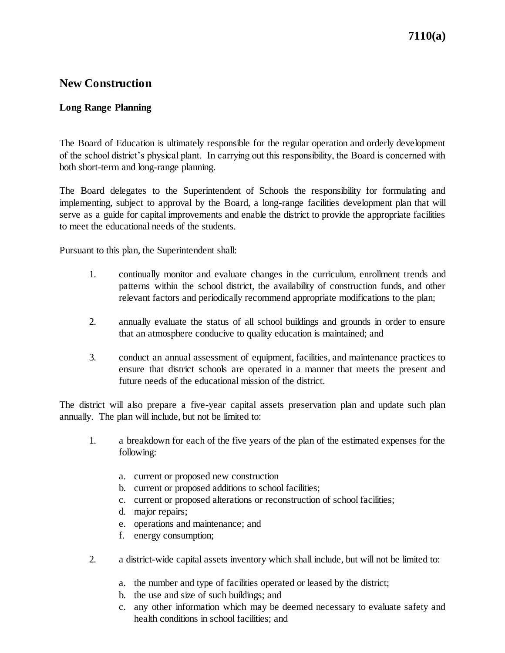## **New Construction**

## **Long Range Planning**

The Board of Education is ultimately responsible for the regular operation and orderly development of the school district's physical plant. In carrying out this responsibility, the Board is concerned with both short-term and long-range planning.

The Board delegates to the Superintendent of Schools the responsibility for formulating and implementing, subject to approval by the Board, a long-range facilities development plan that will serve as a guide for capital improvements and enable the district to provide the appropriate facilities to meet the educational needs of the students.

Pursuant to this plan, the Superintendent shall:

- 1. continually monitor and evaluate changes in the curriculum, enrollment trends and patterns within the school district, the availability of construction funds, and other relevant factors and periodically recommend appropriate modifications to the plan;
- 2. annually evaluate the status of all school buildings and grounds in order to ensure that an atmosphere conducive to quality education is maintained; and
- 3. conduct an annual assessment of equipment, facilities, and maintenance practices to ensure that district schools are operated in a manner that meets the present and future needs of the educational mission of the district.

The district will also prepare a five-year capital assets preservation plan and update such plan annually. The plan will include, but not be limited to:

- 1. a breakdown for each of the five years of the plan of the estimated expenses for the following:
	- a. current or proposed new construction
	- b. current or proposed additions to school facilities;
	- c. current or proposed alterations or reconstruction of school facilities;
	- d. major repairs;
	- e. operations and maintenance; and
	- f. energy consumption;
- 2. a district-wide capital assets inventory which shall include, but will not be limited to:
	- a. the number and type of facilities operated or leased by the district;
	- b. the use and size of such buildings; and
	- c. any other information which may be deemed necessary to evaluate safety and health conditions in school facilities; and